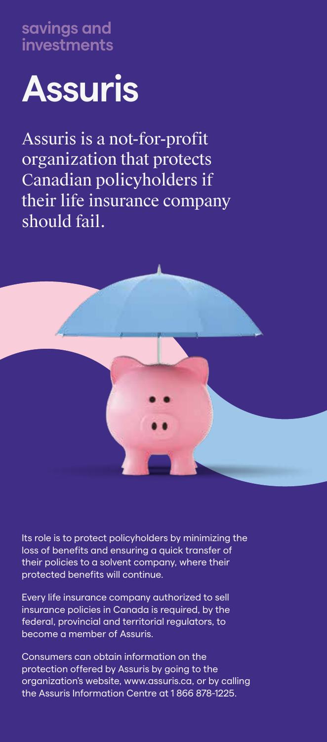**savings and investments**



Assuris is a not-for-profit organization that protects Canadian policyholders if their life insurance company should fail.



Its role is to protect policyholders by minimizing the loss of benefits and ensuring a quick transfer of their policies to a solvent company, where their protected benefits will continue.

Every life insurance company authorized to sell insurance policies in Canada is required, by the federal, provincial and territorial regulators, to become a member of Assuris.

Consumers can obtain information on the protection offered by Assuris by going to the organization's website, www.assuris.ca, or by calling the Assuris Information Centre at 1 866 878-1225.